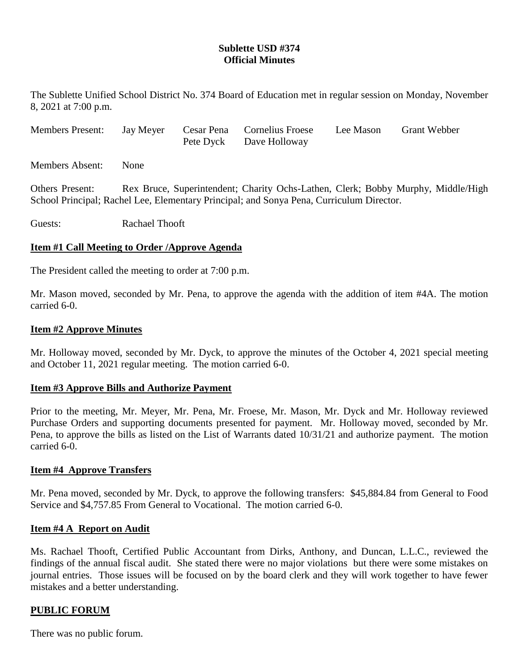# **Sublette USD #374 Official Minutes**

The Sublette Unified School District No. 374 Board of Education met in regular session on Monday, November 8, 2021 at 7:00 p.m.

| <b>Members Present:</b> |  | Jay Meyer Cesar Pena Cornelius Froese | Lee Mason | <b>Grant Webber</b> |
|-------------------------|--|---------------------------------------|-----------|---------------------|
|                         |  | Pete Dyck Dave Holloway               |           |                     |

Members Absent: None

Others Present: Rex Bruce, Superintendent; Charity Ochs-Lathen, Clerk; Bobby Murphy, Middle/High School Principal; Rachel Lee, Elementary Principal; and Sonya Pena, Curriculum Director.

Guests: Rachael Thooft

### **Item #1 Call Meeting to Order /Approve Agenda**

The President called the meeting to order at 7:00 p.m.

Mr. Mason moved, seconded by Mr. Pena, to approve the agenda with the addition of item #4A. The motion carried 6-0.

### **Item #2 Approve Minutes**

Mr. Holloway moved, seconded by Mr. Dyck, to approve the minutes of the October 4, 2021 special meeting and October 11, 2021 regular meeting. The motion carried 6-0.

### **Item #3 Approve Bills and Authorize Payment**

Prior to the meeting, Mr. Meyer, Mr. Pena, Mr. Froese, Mr. Mason, Mr. Dyck and Mr. Holloway reviewed Purchase Orders and supporting documents presented for payment. Mr. Holloway moved, seconded by Mr. Pena, to approve the bills as listed on the List of Warrants dated 10/31/21 and authorize payment. The motion carried 6-0.

#### **Item #4 Approve Transfers**

Mr. Pena moved, seconded by Mr. Dyck, to approve the following transfers: \$45,884.84 from General to Food Service and \$4,757.85 From General to Vocational. The motion carried 6-0.

### **Item #4 A Report on Audit**

Ms. Rachael Thooft, Certified Public Accountant from Dirks, Anthony, and Duncan, L.L.C., reviewed the findings of the annual fiscal audit. She stated there were no major violations but there were some mistakes on journal entries. Those issues will be focused on by the board clerk and they will work together to have fewer mistakes and a better understanding.

### **PUBLIC FORUM**

There was no public forum.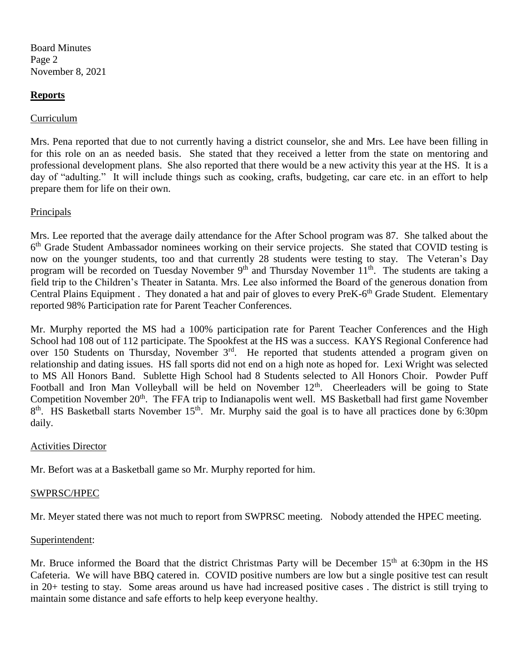Board Minutes Page 2 November 8, 2021

### **Reports**

### Curriculum

Mrs. Pena reported that due to not currently having a district counselor, she and Mrs. Lee have been filling in for this role on an as needed basis. She stated that they received a letter from the state on mentoring and professional development plans. She also reported that there would be a new activity this year at the HS. It is a day of "adulting." It will include things such as cooking, crafts, budgeting, car care etc. in an effort to help prepare them for life on their own.

### Principals

Mrs. Lee reported that the average daily attendance for the After School program was 87. She talked about the 6<sup>th</sup> Grade Student Ambassador nominees working on their service projects. She stated that COVID testing is now on the younger students, too and that currently 28 students were testing to stay. The Veteran's Day program will be recorded on Tuesday November 9<sup>th</sup> and Thursday November 11<sup>th</sup>. The students are taking a field trip to the Children's Theater in Satanta. Mrs. Lee also informed the Board of the generous donation from Central Plains Equipment. They donated a hat and pair of gloves to every PreK-6<sup>th</sup> Grade Student. Elementary reported 98% Participation rate for Parent Teacher Conferences.

Mr. Murphy reported the MS had a 100% participation rate for Parent Teacher Conferences and the High School had 108 out of 112 participate. The Spookfest at the HS was a success. KAYS Regional Conference had over 150 Students on Thursday, November 3<sup>rd</sup>. He reported that students attended a program given on relationship and dating issues. HS fall sports did not end on a high note as hoped for. Lexi Wright was selected to MS All Honors Band. Sublette High School had 8 Students selected to All Honors Choir. Powder Puff Football and Iron Man Volleyball will be held on November 12<sup>th</sup>. Cheerleaders will be going to State Competition November 20<sup>th</sup>. The FFA trip to Indianapolis went well. MS Basketball had first game November  $8<sup>th</sup>$ . HS Basketball starts November 15<sup>th</sup>. Mr. Murphy said the goal is to have all practices done by 6:30pm daily.

### Activities Director

Mr. Befort was at a Basketball game so Mr. Murphy reported for him.

### SWPRSC/HPEC

Mr. Meyer stated there was not much to report from SWPRSC meeting. Nobody attended the HPEC meeting.

### Superintendent:

Mr. Bruce informed the Board that the district Christmas Party will be December 15<sup>th</sup> at 6:30pm in the HS Cafeteria. We will have BBQ catered in. COVID positive numbers are low but a single positive test can result in 20+ testing to stay. Some areas around us have had increased positive cases . The district is still trying to maintain some distance and safe efforts to help keep everyone healthy.